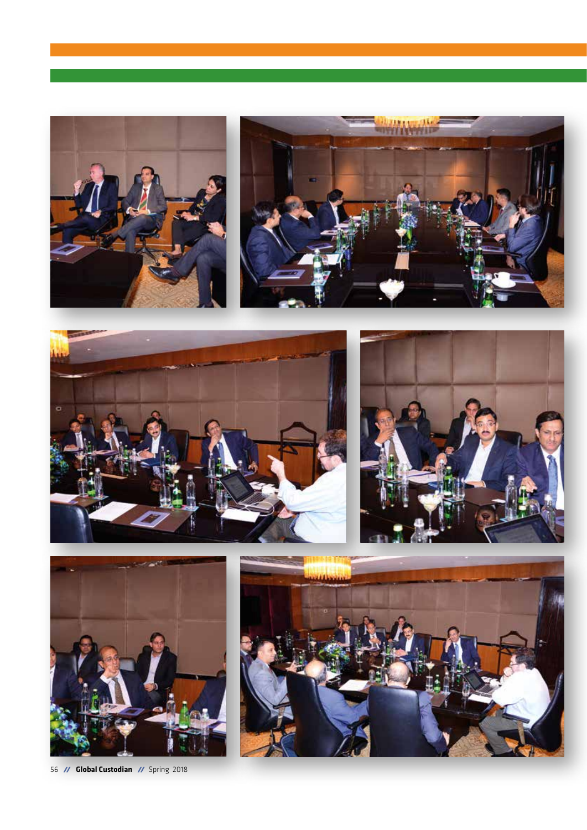











56 // **Global Custodian** // Spring 2018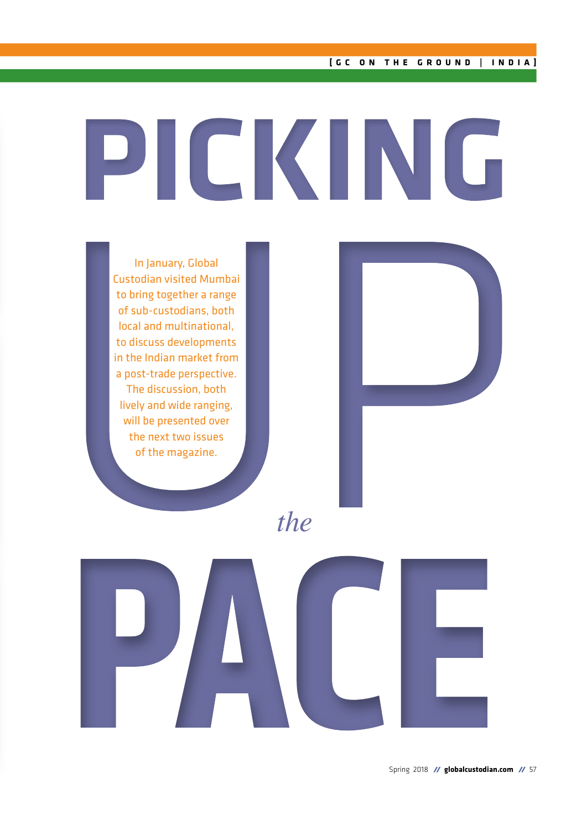# **PICKING**

In January, Global Custodian visited Mumbai to bring together a range of sub-custodians, both local and multinational, to discuss developments in the Indian market from a post-trade perspective. The discussion, both lively and wide ranging, will be presented over the next two issues of the magazine.



*the*

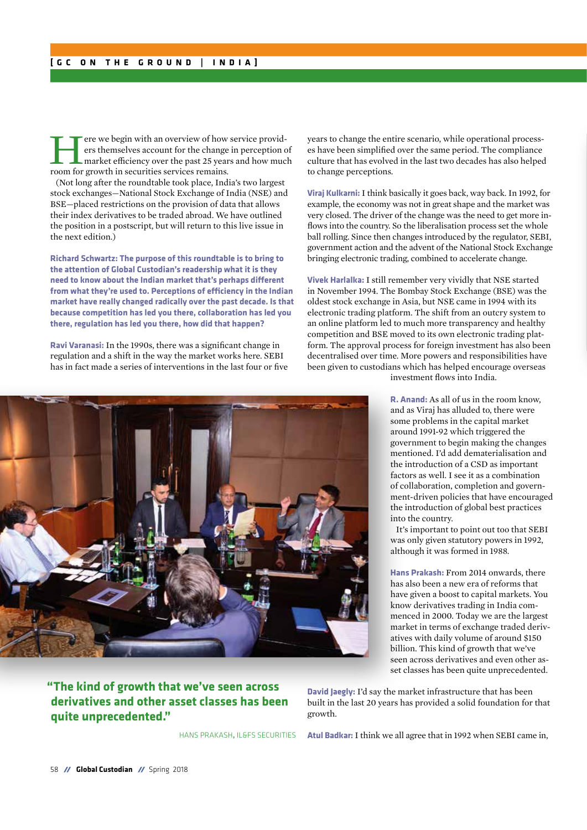Figure we begin with an overview of how service providers themselves account for the change in perception commanded the past 25 years and how much room for growth in securities services remains ers themselves account for the change in perception of market efficiency over the past 25 years and how much room for growth in securities services remains.

(Not long after the roundtable took place, India's two largest stock exchanges—National Stock Exchange of India (NSE) and BSE—placed restrictions on the provision of data that allows their index derivatives to be traded abroad. We have outlined the position in a postscript, but will return to this live issue in the next edition.)

**Richard Schwartz: The purpose of this roundtable is to bring to the attention of Global Custodian's readership what it is they need to know about the Indian market that's perhaps diferent from what they're used to. Perceptions of efciency in the Indian market have really changed radically over the past decade. Is that because competition has led you there, collaboration has led you there, regulation has led you there, how did that happen?** 

**Ravi Varanasi:** In the 1990s, there was a significant change in regulation and a shift in the way the market works here. SEBI has in fact made a series of interventions in the last four or five years to change the entire scenario, while operational processes have been simplified over the same period. The compliance culture that has evolved in the last two decades has also helped to change perceptions.

**Viraj Kulkarni:** I think basically it goes back, way back. In 1992, for example, the economy was not in great shape and the market was very closed. The driver of the change was the need to get more inflows into the country. So the liberalisation process set the whole ball rolling. Since then changes introduced by the regulator, SEBI, government action and the advent of the National Stock Exchange bringing electronic trading, combined to accelerate change.

**Vivek Harlalka:** I still remember very vividly that NSE started in November 1994. The Bombay Stock Exchange (BSE) was the oldest stock exchange in Asia, but NSE came in 1994 with its electronic trading platform. The shift from an outcry system to an online platform led to much more transparency and healthy competition and BSE moved to its own electronic trading platform. The approval process for foreign investment has also been decentralised over time. More powers and responsibilities have been given to custodians which has helped encourage overseas investment flows into India.

**R. Anand:** As all of us in the room know, and as Viraj has alluded to, there were some problems in the capital market around 1991-92 which triggered the government to begin making the changes mentioned. I'd add dematerialisation and the introduction of a CSD as important factors as well. I see it as a combination of collaboration, completion and government-driven policies that have encouraged the introduction of global best practices into the country.

It's important to point out too that SEBI was only given statutory powers in 1992, although it was formed in 1988.

**Hans Prakash:** From 2014 onwards, there has also been a new era of reforms that have given a boost to capital markets. You know derivatives trading in India commenced in 2000. Today we are the largest market in terms of exchange traded derivatives with daily volume of around \$150 billion. This kind of growth that we've seen across derivatives and even other asset classes has been quite unprecedented.

**"The kind of growth that we've seen across derivatives and other asset classes has been quite unprecedented."**

HANS PRAKASH, IL&FS SECURITIES

**David Jaegly:** I'd say the market infrastructure that has been built in the last 20 years has provided a solid foundation for that growth.

**Atul Badkar:** I think we all agree that in 1992 when SEBI came in,

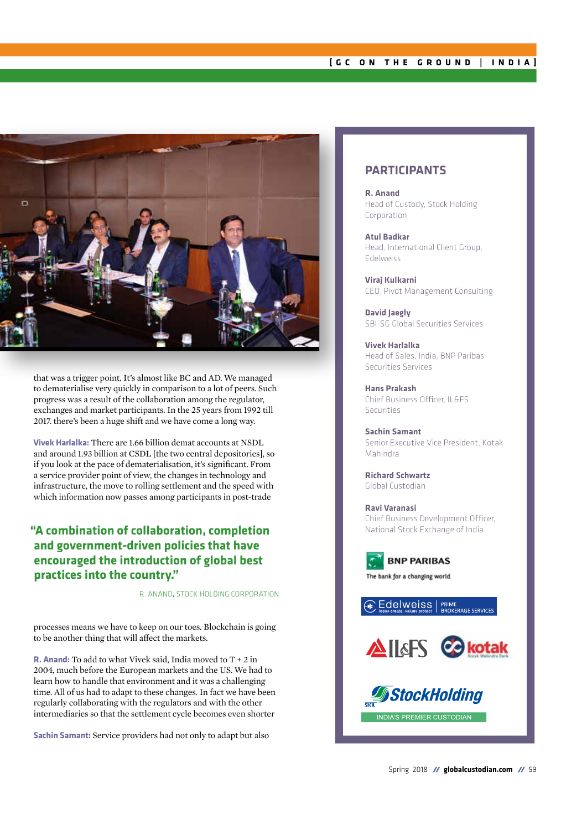

that was a trigger point. It's almost like BC and AD. We managed to dematerialise very quickly in comparison to a lot of peers. Such progress was a result of the collaboration among the regulator, exchanges and market participants. In the 25 years from 1992 till 2017. there's been a huge shift and we have come a long way.

**Vivek Harlalka:** There are 1.66 billion demat accounts at NSDL and around 1.93 billion at CSDL [the two central depositories], so if you look at the pace of dematerialisation, it's significant. From a service provider point of view, the changes in technology and infrastructure, the move to rolling settlement and the speed with which information now passes among participants in post-trade

# **"A combination of collaboration, completion <b>National Stack Exchange of India and government-driven policies that have encouraged the introduction of global best practices into the country."**

R. ANAND, STOCK HOLDING CORPORATION

processes means we have to keep on our toes. Blockchain is going to be another thing that will afect the markets.

**R. Anand:** To add to what Vivek said, India moved to T + 2 in 2004, much before the European markets and the US. We had to learn how to handle that environment and it was a challenging time. All of us had to adapt to these changes. In fact we have been regularly collaborating with the regulators and with the other intermediaries so that the settlement cycle becomes even shorter

**Sachin Samant:** Service providers had not only to adapt but also

### **PARTICIPANTS**

**R. Anand** Head of Custody, Stock Holding Corporation

**Atul Badkar** Head, International Client Group, Edelweiss

**Viraj Kulkarni** CEO, Pivot Management Consulting

**David Jaegly** SBI-SG Global Securities Services

**Vivek Harlalka** Head of Sales, India, BNP Paribas Securities Services

**Hans Prakash** Chief Business Officer, IL&FS Securities

**Sachin Samant** Senior Executive Vice President, Kotak Mahindra

**Richard Schwartz** Global Custodian

**Ravi Varanasi** Chief Business Development Officer,



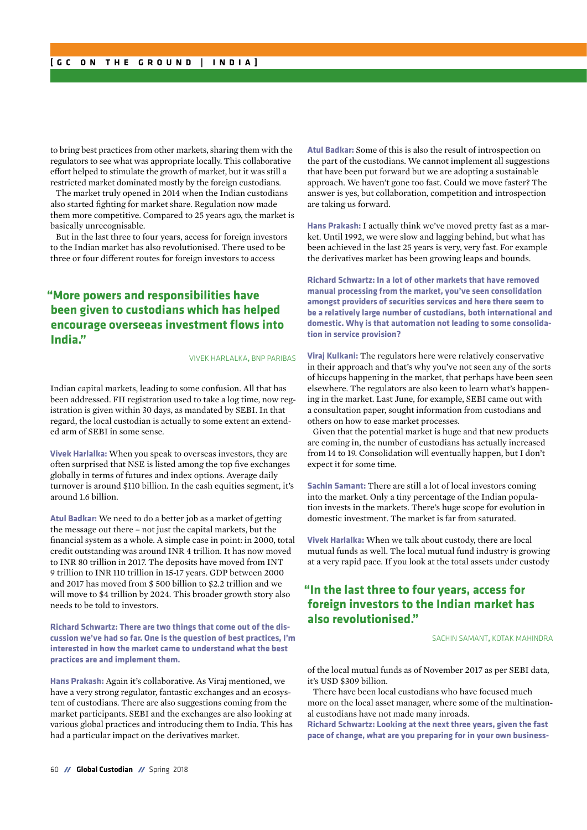to bring best practices from other markets, sharing them with the regulators to see what was appropriate locally. This collaborative efort helped to stimulate the growth of market, but it was still a restricted market dominated mostly by the foreign custodians.

The market truly opened in 2014 when the Indian custodians also started fighting for market share. Regulation now made them more competitive. Compared to 25 years ago, the market is basically unrecognisable.

But in the last three to four years, access for foreign investors to the Indian market has also revolutionised. There used to be three or four diferent routes for foreign investors to access

## **"More powers and responsibilities have been given to custodians which has helped encourage overseeas investment flows into India."**

### VIVEK HARLALKA, BNP PARIBAS

Indian capital markets, leading to some confusion. All that has been addressed. FII registration used to take a log time, now registration is given within 30 days, as mandated by SEBI. In that regard, the local custodian is actually to some extent an extended arm of SEBI in some sense.

**Vivek Harlalka:** When you speak to overseas investors, they are often surprised that NSE is listed among the top five exchanges globally in terms of futures and index options. Average daily turnover is around \$110 billion. In the cash equities segment, it's around 1.6 billion.

**Atul Badkar:** We need to do a better job as a market of getting the message out there – not just the capital markets, but the financial system as a whole. A simple case in point: in 2000, total credit outstanding was around INR 4 trillion. It has now moved to INR 80 trillion in 2017. The deposits have moved from INT 9 trillion to INR 110 trillion in 15-17 years. GDP between 2000 and 2017 has moved from \$ 500 billion to \$2.2 trillion and we will move to \$4 trillion by 2024. This broader growth story also needs to be told to investors.

**Richard Schwartz: There are two things that come out of the discussion we've had so far. One is the question of best practices, I'm interested in how the market came to understand what the best practices are and implement them.**

**Hans Prakash:** Again it's collaborative. As Viraj mentioned, we have a very strong regulator, fantastic exchanges and an ecosystem of custodians. There are also suggestions coming from the market participants. SEBI and the exchanges are also looking at various global practices and introducing them to India. This has had a particular impact on the derivatives market.

**Atul Badkar:** Some of this is also the result of introspection on the part of the custodians. We cannot implement all suggestions that have been put forward but we are adopting a sustainable approach. We haven't gone too fast. Could we move faster? The answer is yes, but collaboration, competition and introspection are taking us forward.

**Hans Prakash:** I actually think we've moved pretty fast as a market. Until 1992, we were slow and lagging behind, but what has been achieved in the last 25 years is very, very fast. For example the derivatives market has been growing leaps and bounds.

**Richard Schwartz: In a lot of other markets that have removed manual processing from the market, you've seen consolidation amongst providers of securities services and here there seem to be a relatively large number of custodians, both international and domestic. Why is that automation not leading to some consolidation in service provision?**

**Viraj Kulkani:** The regulators here were relatively conservative in their approach and that's why you've not seen any of the sorts of hiccups happening in the market, that perhaps have been seen elsewhere. The regulators are also keen to learn what's happening in the market. Last June, for example, SEBI came out with a consultation paper, sought information from custodians and others on how to ease market processes.

Given that the potential market is huge and that new products are coming in, the number of custodians has actually increased from 14 to 19. Consolidation will eventually happen, but I don't expect it for some time.

**Sachin Samant:** There are still a lot of local investors coming into the market. Only a tiny percentage of the Indian population invests in the markets. There's huge scope for evolution in domestic investment. The market is far from saturated.

**Vivek Harlalka:** When we talk about custody, there are local mutual funds as well. The local mutual fund industry is growing at a very rapid pace. If you look at the total assets under custody

## **"In the last three to four years, access for foreign investors to the Indian market has also revolutionised."**

SACHIN SAMANT, KOTAK MAHINDRA

of the local mutual funds as of November 2017 as per SEBI data, it's USD \$309 billion.

There have been local custodians who have focused much more on the local asset manager, where some of the multinational custodians have not made many inroads.

**Richard Schwartz: Looking at the next three years, given the fast pace of change, what are you preparing for in your own business-**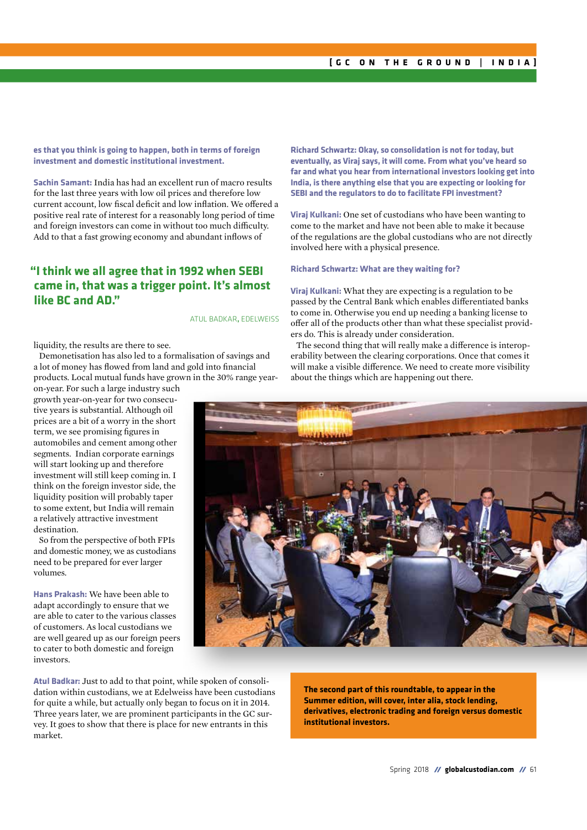**es that you think is going to happen, both in terms of foreign investment and domestic institutional investment.**

**Sachin Samant:** India has had an excellent run of macro results for the last three years with low oil prices and therefore low current account, low fiscal deficit and low inflation. We ofered a positive real rate of interest for a reasonably long period of time and foreign investors can come in without too much difficulty. Add to that a fast growing economy and abundant inflows of

# **"I think we all agree that in 1992 when SEBI came in, that was a trigger point. It's almost like BC and AD."**

ATUL BADKAR, EDELWEISS

liquidity, the results are there to see.

Demonetisation has also led to a formalisation of savings and a lot of money has flowed from land and gold into financial products. Local mutual funds have grown in the 30% range year-

on-year. For such a large industry such growth year-on-year for two consecutive years is substantial. Although oil prices are a bit of a worry in the short term, we see promising figures in automobiles and cement among other segments. Indian corporate earnings will start looking up and therefore investment will still keep coming in. I think on the foreign investor side, the liquidity position will probably taper to some extent, but India will remain a relatively attractive investment destination.

So from the perspective of both FPIs and domestic money, we as custodians need to be prepared for ever larger volumes.

**Hans Prakash:** We have been able to adapt accordingly to ensure that we are able to cater to the various classes of customers. As local custodians we are well geared up as our foreign peers to cater to both domestic and foreign investors.

**Richard Schwartz: Okay, so consolidation is not for today, but eventually, as Viraj says, it will come. From what you've heard so far and what you hear from international investors looking get into India, is there anything else that you are expecting or looking for SEBI and the regulators to do to facilitate FPI investment?**

**Viraj Kulkani:** One set of custodians who have been wanting to come to the market and have not been able to make it because of the regulations are the global custodians who are not directly involved here with a physical presence.

### **Richard Schwartz: What are they waiting for?**

**Viraj Kulkani:** What they are expecting is a regulation to be passed by the Central Bank which enables diferentiated banks to come in. Otherwise you end up needing a banking license to ofer all of the products other than what these specialist providers do. This is already under consideration.

The second thing that will really make a diference is interoperability between the clearing corporations. Once that comes it will make a visible diference. We need to create more visibility about the things which are happening out there.



**Atul Badkar:** Just to add to that point, while spoken of consolidation within custodians, we at Edelweiss have been custodians for quite a while, but actually only began to focus on it in 2014. Three years later, we are prominent participants in the GC survey. It goes to show that there is place for new entrants in this market.

**The second part of this roundtable, to appear in the Summer edition, will cover, inter alia, stock lending, derivatives, electronic trading and foreign versus domestic institutional investors.**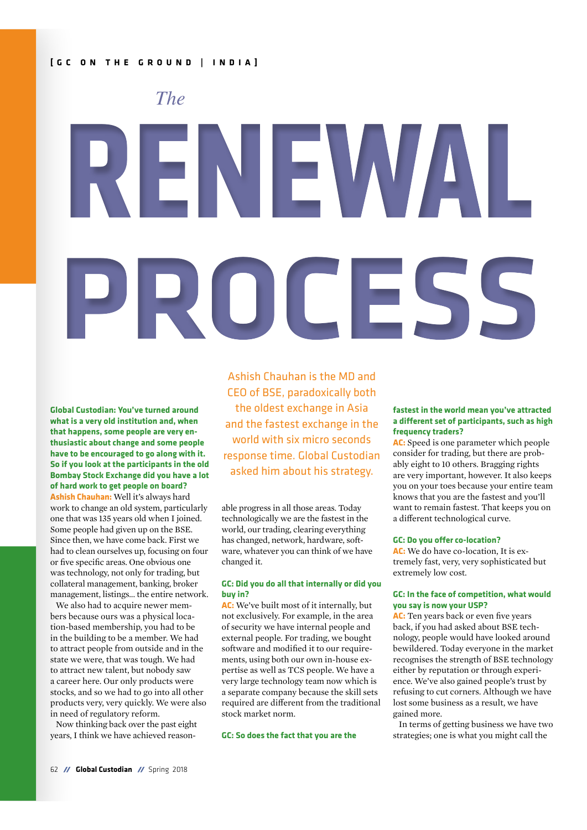# *The*

# **RENEWAL PROCESS**

**Global Custodian: You've turned around what is a very old institution and, when that happens, some people are very enthusiastic about change and some people have to be encouraged to go along with it. So if you look at the participants in the old Bombay Stock Exchange did you have a lot of hard work to get people on board? Ashish Chauhan:** Well it's always hard

work to change an old system, particularly one that was 135 years old when I joined. Some people had given up on the BSE. Since then, we have come back. First we had to clean ourselves up, focusing on four or five specific areas. One obvious one was technology, not only for trading, but collateral management, banking, broker management, listings... the entire network.

We also had to acquire newer members because ours was a physical location-based membership, you had to be in the building to be a member. We had to attract people from outside and in the state we were, that was tough. We had to attract new talent, but nobody saw a career here. Our only products were stocks, and so we had to go into all other products very, very quickly. We were also in need of regulatory reform.

Now thinking back over the past eight years, I think we have achieved reason-

Ashish Chauhan is the MD and CEO of BSE, paradoxically both the oldest exchange in Asia and the fastest exchange in the world with six micro seconds response time. Global Custodian asked him about his strategy.

able progress in all those areas. Today technologically we are the fastest in the world, our trading, clearing everything has changed, network, hardware, software, whatever you can think of we have changed it.

### **GC: Did you do all that internally or did you buy in?**

**AC:** We've built most of it internally, but not exclusively. For example, in the area of security we have internal people and external people. For trading, we bought software and modified it to our requirements, using both our own in-house expertise as well as TCS people. We have a very large technology team now which is a separate company because the skill sets required are diferent from the traditional stock market norm.

### **GC: So does the fact that you are the**

### **fastest in the world mean you've attracted a diferent set of participants, such as high frequency traders?**

**AC:** Speed is one parameter which people consider for trading, but there are probably eight to 10 others. Bragging rights are very important, however. It also keeps you on your toes because your entire team knows that you are the fastest and you'll want to remain fastest. That keeps you on a diferent technological curve.

### **GC: Do you ofer co-location?**

**AC:** We do have co-location, It is extremely fast, very, very sophisticated but extremely low cost.

### **GC: In the face of competition, what would you say is now your USP?**

**AC:** Ten years back or even five years back, if you had asked about BSE technology, people would have looked around bewildered. Today everyone in the market recognises the strength of BSE technology either by reputation or through experience. We've also gained people's trust by refusing to cut corners. Although we have lost some business as a result, we have gained more.

In terms of getting business we have two strategies; one is what you might call the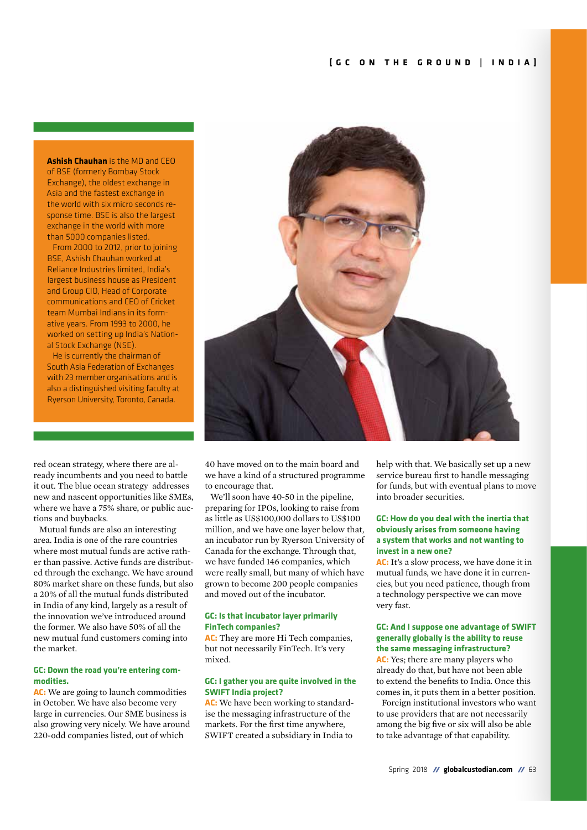**Ashish Chauhan** is the MD and CEO of BSE (formerly Bombay Stock Exchange), the oldest exchange in Asia and the fastest exchange in the world with six micro seconds response time. BSE is also the largest exchange in the world with more than 5000 companies listed.

From 2000 to 2012, prior to joining BSE, Ashish Chauhan worked at Reliance Industries limited, India's largest business house as President and Group CIO, Head of Corporate communications and CEO of Cricket team Mumbai Indians in its formative years. From 1993 to 2000, he worked on setting up India's National Stock Exchange (NSE).

He is currently the chairman of South Asia Federation of Exchanges with 23 member organisations and is also a distinguished visiting faculty at Ryerson University, Toronto, Canada.

red ocean strategy, where there are already incumbents and you need to battle it out. The blue ocean strategy addresses new and nascent opportunities like SMEs, where we have a 75% share, or public auctions and buybacks.

Mutual funds are also an interesting area. India is one of the rare countries where most mutual funds are active rather than passive. Active funds are distributed through the exchange. We have around 80% market share on these funds, but also a 20% of all the mutual funds distributed in India of any kind, largely as a result of the innovation we've introduced around the former. We also have 50% of all the new mutual fund customers coming into the market.

### **GC: Down the road you're entering commodities.**

**AC:** We are going to launch commodities in October. We have also become very large in currencies. Our SME business is also growing very nicely. We have around 220-odd companies listed, out of which



40 have moved on to the main board and we have a kind of a structured programme to encourage that.

We'll soon have 40-50 in the pipeline, preparing for IPOs, looking to raise from as little as US\$100,000 dollars to US\$100 million, and we have one layer below that, an incubator run by Ryerson University of Canada for the exchange. Through that, we have funded 146 companies, which were really small, but many of which have grown to become 200 people companies and moved out of the incubator.

### **GC: Is that incubator layer primarily FinTech companies?**

**AC:** They are more Hi Tech companies, but not necessarily FinTech. It's very mixed.

### **GC: I gather you are quite involved in the SWIFT India project?**

**AC:** We have been working to standardise the messaging infrastructure of the markets. For the first time anywhere, SWIFT created a subsidiary in India to

help with that. We basically set up a new service bureau first to handle messaging for funds, but with eventual plans to move into broader securities.

### **GC: How do you deal with the inertia that obviously arises from someone having a system that works and not wanting to invest in a new one?**

**AC:** It's a slow process, we have done it in mutual funds, we have done it in currencies, but you need patience, though from a technology perspective we can move very fast.

### **GC: And I suppose one advantage of SWIFT generally globally is the ability to reuse the same messaging infrastructure?**

**AC:** Yes; there are many players who already do that, but have not been able to extend the benefits to India. Once this comes in, it puts them in a better position.

Foreign institutional investors who want to use providers that are not necessarily among the big five or six will also be able to take advantage of that capability.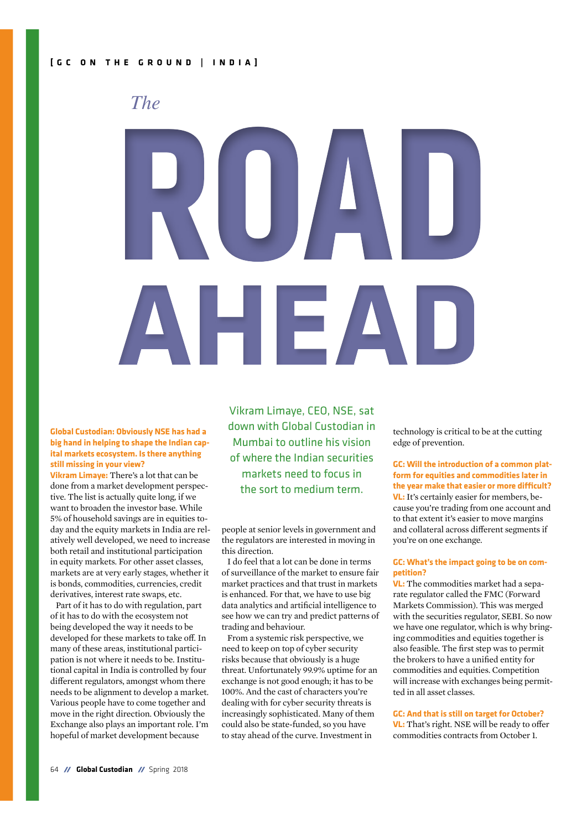# **AHEAD ROAD** *The*

### **Global Custodian: Obviously NSE has had a big hand in helping to shape the Indian capital markets ecosystem. Is there anything still missing in your view?**

**Vikram Limaye:** There's a lot that can be done from a market development perspective. The list is actually quite long, if we want to broaden the investor base. While 5% of household savings are in equities today and the equity markets in India are relatively well developed, we need to increase both retail and institutional participation in equity markets. For other asset classes, markets are at very early stages, whether it is bonds, commodities, currencies, credit derivatives, interest rate swaps, etc.

Part of it has to do with regulation, part of it has to do with the ecosystem not being developed the way it needs to be developed for these markets to take off. In many of these areas, institutional participation is not where it needs to be. Institutional capital in India is controlled by four diferent regulators, amongst whom there needs to be alignment to develop a market. Various people have to come together and move in the right direction. Obviously the Exchange also plays an important role. I'm hopeful of market development because

Vikram Limaye, CEO, NSE, sat down with Global Custodian in Mumbai to outline his vision of where the Indian securities markets need to focus in the sort to medium term.

people at senior levels in government and the regulators are interested in moving in this direction.

I do feel that a lot can be done in terms of surveillance of the market to ensure fair market practices and that trust in markets is enhanced. For that, we have to use big data analytics and artificial intelligence to see how we can try and predict patterns of trading and behaviour.

From a systemic risk perspective, we need to keep on top of cyber security risks because that obviously is a huge threat. Unfortunately 99.9% uptime for an exchange is not good enough; it has to be 100%. And the cast of characters you're dealing with for cyber security threats is increasingly sophisticated. Many of them could also be state-funded, so you have to stay ahead of the curve. Investment in

technology is critical to be at the cutting edge of prevention.

### **GC: Will the introduction of a common platform for equities and commodities later in the year make that easier or more difcult? VL:** It's certainly easier for members, because you're trading from one account and to that extent it's easier to move margins and collateral across diferent segments if

### **GC: What's the impact going to be on competition?**

you're on one exchange.

**VL:** The commodities market had a separate regulator called the FMC (Forward Markets Commission). This was merged with the securities regulator, SEBI. So now we have one regulator, which is why bringing commodities and equities together is also feasible. The first step was to permit the brokers to have a unified entity for commodities and equities. Competition will increase with exchanges being permitted in all asset classes.

### **GC: And that is still on target for October? VL:** That's right. NSE will be ready to ofer commodities contracts from October 1.